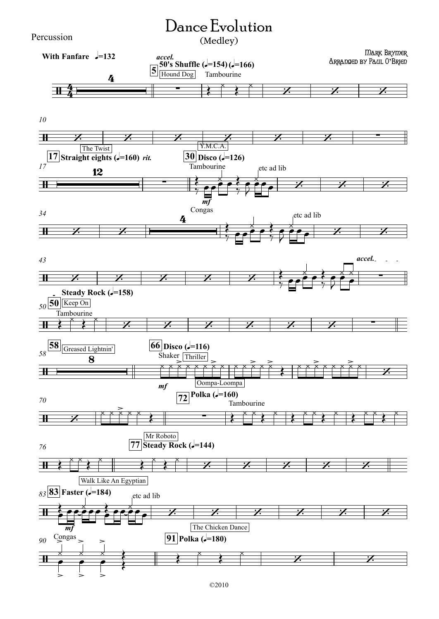